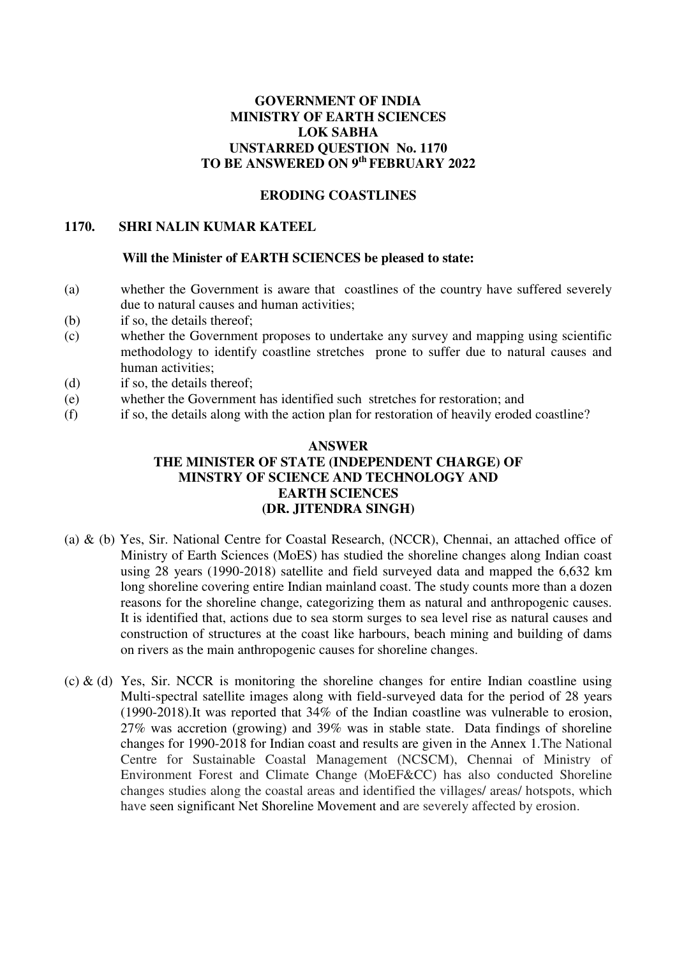# **GOVERNMENT OF INDIA MINISTRY OF EARTH SCIENCES LOK SABHA UNSTARRED QUESTION No. 1170 TO BE ANSWERED ON 9th FEBRUARY 2022**

## **ERODING COASTLINES**

#### **1170. SHRI NALIN KUMAR KATEEL**

### **Will the Minister of EARTH SCIENCES be pleased to state:**

- (a) whether the Government is aware that coastlines of the country have suffered severely due to natural causes and human activities;
- (b) if so, the details thereof;
- (c) whether the Government proposes to undertake any survey and mapping using scientific methodology to identify coastline stretches prone to suffer due to natural causes and human activities;
- (d) if so, the details thereof;
- (e) whether the Government has identified such stretches for restoration; and
- (f) if so, the details along with the action plan for restoration of heavily eroded coastline?

## **ANSWER THE MINISTER OF STATE (INDEPENDENT CHARGE) OF MINSTRY OF SCIENCE AND TECHNOLOGY AND EARTH SCIENCES (DR. JITENDRA SINGH)**

- (a) & (b) Yes, Sir. National Centre for Coastal Research, (NCCR), Chennai, an attached office of Ministry of Earth Sciences (MoES) has studied the shoreline changes along Indian coast using 28 years (1990-2018) satellite and field surveyed data and mapped the 6,632 km long shoreline covering entire Indian mainland coast. The study counts more than a dozen reasons for the shoreline change, categorizing them as natural and anthropogenic causes. It is identified that, actions due to sea storm surges to sea level rise as natural causes and construction of structures at the coast like harbours, beach mining and building of dams on rivers as the main anthropogenic causes for shoreline changes.
- (c)  $\&$  (d) Yes, Sir. NCCR is monitoring the shoreline changes for entire Indian coastline using Multi-spectral satellite images along with field-surveyed data for the period of 28 years (1990-2018).It was reported that 34% of the Indian coastline was vulnerable to erosion, 27% was accretion (growing) and 39% was in stable state. Data findings of shoreline changes for 1990-2018 for Indian coast and results are given in the Annex 1.The National Centre for Sustainable Coastal Management (NCSCM), Chennai of Ministry of Environment Forest and Climate Change (MoEF&CC) has also conducted Shoreline changes studies along the coastal areas and identified the villages/ areas/ hotspots, which have seen significant Net Shoreline Movement and are severely affected by erosion.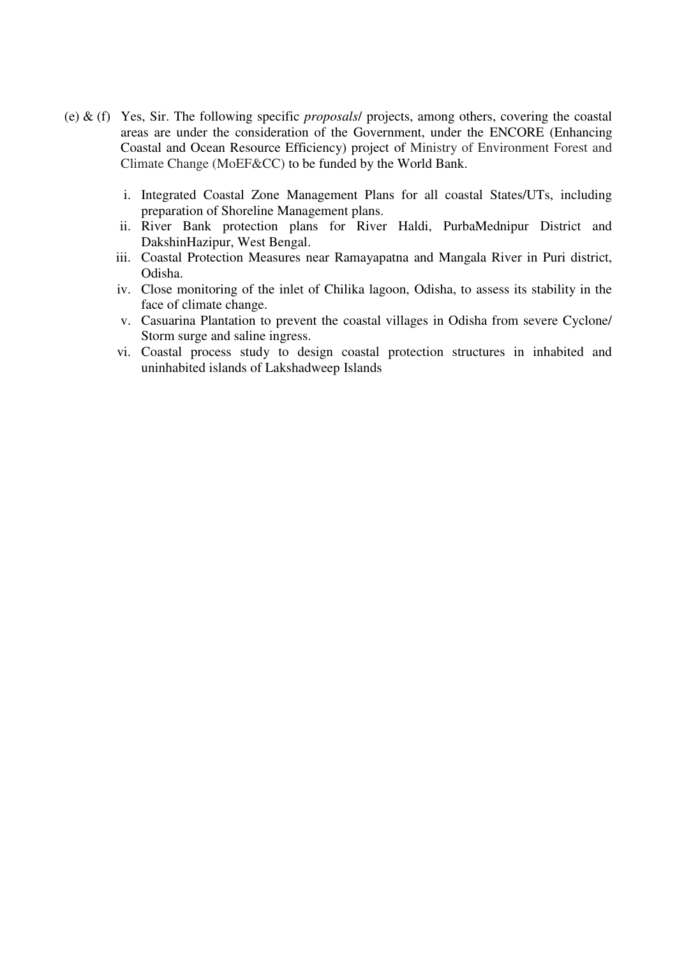- (e) & (f) Yes, Sir. The following specific *proposals*/ projects, among others, covering the coastal areas are under the consideration of the Government, under the ENCORE (Enhancing Coastal and Ocean Resource Efficiency) project of Ministry of Environment Forest and Climate Change (MoEF&CC) to be funded by the World Bank.
	- i. Integrated Coastal Zone Management Plans for all coastal States/UTs, including preparation of Shoreline Management plans.
	- ii. River Bank protection plans for River Haldi, PurbaMednipur District and DakshinHazipur, West Bengal.
	- iii. Coastal Protection Measures near Ramayapatna and Mangala River in Puri district, Odisha.
	- iv. Close monitoring of the inlet of Chilika lagoon, Odisha, to assess its stability in the face of climate change.
	- v. Casuarina Plantation to prevent the coastal villages in Odisha from severe Cyclone/ Storm surge and saline ingress.
	- vi. Coastal process study to design coastal protection structures in inhabited and uninhabited islands of Lakshadweep Islands